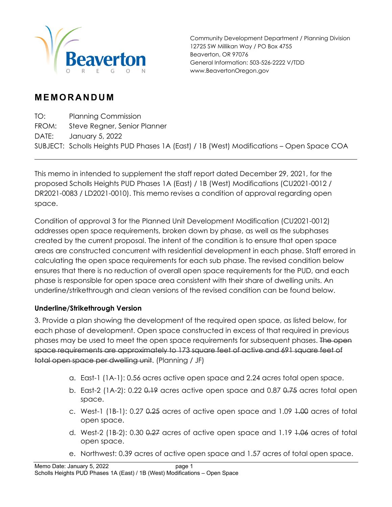

Community Development Department / Planning Division 12725 SW Millikan Way / PO Box 4755 Beaverton, OR 97076 General Information: 503-526-2222 V/TDD www.BeavertonOregon.gov

## **MEMORANDUM**

TO: Planning Commission FROM: Steve Regner, Senior Planner DATE: January 5, 2022 SUBJECT: Scholls Heights PUD Phases 1A (East) / 1B (West) Modifications – Open Space COA

This memo in intended to supplement the staff report dated December 29, 2021, for the proposed Scholls Heights PUD Phases 1A (East) / 1B (West) Modifications (CU2021-0012 / DR2021-0083 / LD2021-0010). This memo revises a condition of approval regarding open space.

Condition of approval 3 for the Planned Unit Development Modification (CU2021-0012) addresses open space requirements, broken down by phase, as well as the subphases created by the current proposal. The intent of the condition is to ensure that open space areas are constructed concurrent with residential development in each phase. Staff errored in calculating the open space requirements for each sub phase. The revised condition below ensures that there is no reduction of overall open space requirements for the PUD, and each phase is responsible for open space area consistent with their share of dwelling units. An underline/strikethrough and clean versions of the revised condition can be found below.

## **Underline/Strikethrough Version**

3. Provide a plan showing the development of the required open space, as listed below, for each phase of development. Open space constructed in excess of that required in previous phases may be used to meet the open space requirements for subsequent phases. The open space requirements are approximately to 173 square feet of active and 691 square feet of total open space per dwelling unit. (Planning / JF)

- a. East-1 (1A-1): 0.56 acres active open space and 2.24 acres total open space.
- b. East-2 (1A-2): 0.22 0.19 acres active open space and 0.87 0.75 acres total open space.
- c. West-1 (1B-1): 0.27 0.25 acres of active open space and 1.09 1.00 acres of total open space.
- d. West-2 (1B-2): 0.30 0.27 acres of active open space and 1.19 1.06 acres of total open space.
- e. Northwest: 0.39 acres of active open space and 1.57 acres of total open space.